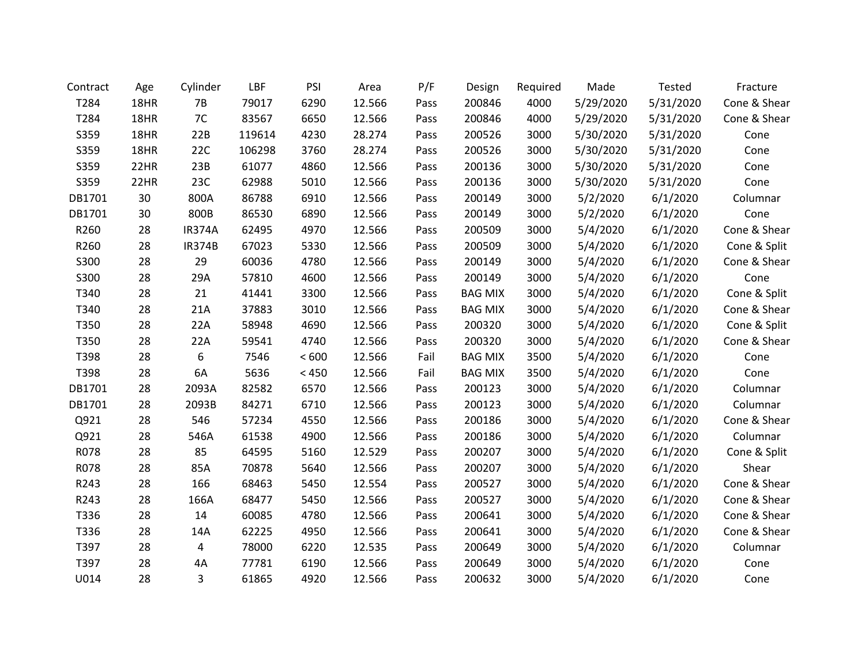| Contract | Age  | Cylinder      | LBF    | PSI   | Area   | P/F  | Design         | Required | Made      | <b>Tested</b> | Fracture     |
|----------|------|---------------|--------|-------|--------|------|----------------|----------|-----------|---------------|--------------|
| T284     | 18HR | 7B            | 79017  | 6290  | 12.566 | Pass | 200846         | 4000     | 5/29/2020 | 5/31/2020     | Cone & Shear |
| T284     | 18HR | 7C            | 83567  | 6650  | 12.566 | Pass | 200846         | 4000     | 5/29/2020 | 5/31/2020     | Cone & Shear |
| S359     | 18HR | 22B           | 119614 | 4230  | 28.274 | Pass | 200526         | 3000     | 5/30/2020 | 5/31/2020     | Cone         |
| S359     | 18HR | 22C           | 106298 | 3760  | 28.274 | Pass | 200526         | 3000     | 5/30/2020 | 5/31/2020     | Cone         |
| S359     | 22HR | 23B           | 61077  | 4860  | 12.566 | Pass | 200136         | 3000     | 5/30/2020 | 5/31/2020     | Cone         |
| S359     | 22HR | 23C           | 62988  | 5010  | 12.566 | Pass | 200136         | 3000     | 5/30/2020 | 5/31/2020     | Cone         |
| DB1701   | 30   | 800A          | 86788  | 6910  | 12.566 | Pass | 200149         | 3000     | 5/2/2020  | 6/1/2020      | Columnar     |
| DB1701   | 30   | 800B          | 86530  | 6890  | 12.566 | Pass | 200149         | 3000     | 5/2/2020  | 6/1/2020      | Cone         |
| R260     | 28   | <b>IR374A</b> | 62495  | 4970  | 12.566 | Pass | 200509         | 3000     | 5/4/2020  | 6/1/2020      | Cone & Shear |
| R260     | 28   | <b>IR374B</b> | 67023  | 5330  | 12.566 | Pass | 200509         | 3000     | 5/4/2020  | 6/1/2020      | Cone & Split |
| S300     | 28   | 29            | 60036  | 4780  | 12.566 | Pass | 200149         | 3000     | 5/4/2020  | 6/1/2020      | Cone & Shear |
| S300     | 28   | 29A           | 57810  | 4600  | 12.566 | Pass | 200149         | 3000     | 5/4/2020  | 6/1/2020      | Cone         |
| T340     | 28   | 21            | 41441  | 3300  | 12.566 | Pass | <b>BAG MIX</b> | 3000     | 5/4/2020  | 6/1/2020      | Cone & Split |
| T340     | 28   | 21A           | 37883  | 3010  | 12.566 | Pass | <b>BAG MIX</b> | 3000     | 5/4/2020  | 6/1/2020      | Cone & Shear |
| T350     | 28   | 22A           | 58948  | 4690  | 12.566 | Pass | 200320         | 3000     | 5/4/2020  | 6/1/2020      | Cone & Split |
| T350     | 28   | 22A           | 59541  | 4740  | 12.566 | Pass | 200320         | 3000     | 5/4/2020  | 6/1/2020      | Cone & Shear |
| T398     | 28   | 6             | 7546   | < 600 | 12.566 | Fail | <b>BAG MIX</b> | 3500     | 5/4/2020  | 6/1/2020      | Cone         |
| T398     | 28   | 6A            | 5636   | < 450 | 12.566 | Fail | <b>BAG MIX</b> | 3500     | 5/4/2020  | 6/1/2020      | Cone         |
| DB1701   | 28   | 2093A         | 82582  | 6570  | 12.566 | Pass | 200123         | 3000     | 5/4/2020  | 6/1/2020      | Columnar     |
| DB1701   | 28   | 2093B         | 84271  | 6710  | 12.566 | Pass | 200123         | 3000     | 5/4/2020  | 6/1/2020      | Columnar     |
| Q921     | 28   | 546           | 57234  | 4550  | 12.566 | Pass | 200186         | 3000     | 5/4/2020  | 6/1/2020      | Cone & Shear |
| Q921     | 28   | 546A          | 61538  | 4900  | 12.566 | Pass | 200186         | 3000     | 5/4/2020  | 6/1/2020      | Columnar     |
| R078     | 28   | 85            | 64595  | 5160  | 12.529 | Pass | 200207         | 3000     | 5/4/2020  | 6/1/2020      | Cone & Split |
| R078     | 28   | 85A           | 70878  | 5640  | 12.566 | Pass | 200207         | 3000     | 5/4/2020  | 6/1/2020      | Shear        |
| R243     | 28   | 166           | 68463  | 5450  | 12.554 | Pass | 200527         | 3000     | 5/4/2020  | 6/1/2020      | Cone & Shear |
| R243     | 28   | 166A          | 68477  | 5450  | 12.566 | Pass | 200527         | 3000     | 5/4/2020  | 6/1/2020      | Cone & Shear |
| T336     | 28   | 14            | 60085  | 4780  | 12.566 | Pass | 200641         | 3000     | 5/4/2020  | 6/1/2020      | Cone & Shear |
| T336     | 28   | 14A           | 62225  | 4950  | 12.566 | Pass | 200641         | 3000     | 5/4/2020  | 6/1/2020      | Cone & Shear |
| T397     | 28   | 4             | 78000  | 6220  | 12.535 | Pass | 200649         | 3000     | 5/4/2020  | 6/1/2020      | Columnar     |
| T397     | 28   | 4A            | 77781  | 6190  | 12.566 | Pass | 200649         | 3000     | 5/4/2020  | 6/1/2020      | Cone         |
| U014     | 28   | 3             | 61865  | 4920  | 12.566 | Pass | 200632         | 3000     | 5/4/2020  | 6/1/2020      | Cone         |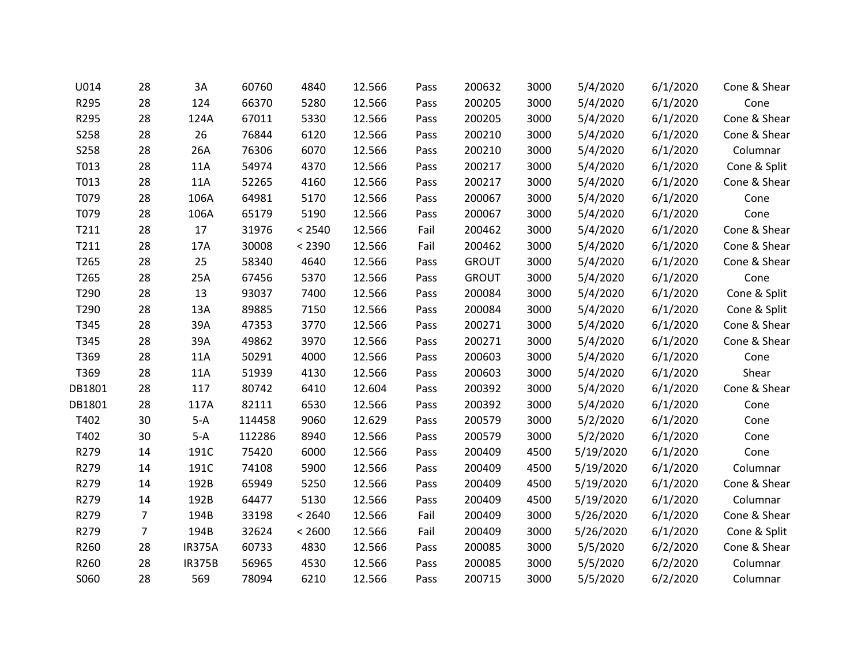| U014        | 28             | 3A            | 60760  | 4840   | 12.566 | Pass | 200632       | 3000 | 5/4/2020  | 6/1/2020 | Cone & Shear |
|-------------|----------------|---------------|--------|--------|--------|------|--------------|------|-----------|----------|--------------|
| R295        | 28             | 124           | 66370  | 5280   | 12.566 | Pass | 200205       | 3000 | 5/4/2020  | 6/1/2020 | Cone         |
| R295        | 28             | 124A          | 67011  | 5330   | 12.566 | Pass | 200205       | 3000 | 5/4/2020  | 6/1/2020 | Cone & Shear |
| <b>S258</b> | 28             | 26            | 76844  | 6120   | 12.566 | Pass | 200210       | 3000 | 5/4/2020  | 6/1/2020 | Cone & Shear |
| <b>S258</b> | 28             | 26A           | 76306  | 6070   | 12.566 | Pass | 200210       | 3000 | 5/4/2020  | 6/1/2020 | Columnar     |
| T013        | 28             | 11A           | 54974  | 4370   | 12.566 | Pass | 200217       | 3000 | 5/4/2020  | 6/1/2020 | Cone & Split |
| T013        | 28             | 11A           | 52265  | 4160   | 12.566 | Pass | 200217       | 3000 | 5/4/2020  | 6/1/2020 | Cone & Shear |
| T079        | 28             | 106A          | 64981  | 5170   | 12.566 | Pass | 200067       | 3000 | 5/4/2020  | 6/1/2020 | Cone         |
| T079        | 28             | 106A          | 65179  | 5190   | 12.566 | Pass | 200067       | 3000 | 5/4/2020  | 6/1/2020 | Cone         |
| T211        | 28             | 17            | 31976  | < 2540 | 12.566 | Fail | 200462       | 3000 | 5/4/2020  | 6/1/2020 | Cone & Shear |
| T211        | 28             | 17A           | 30008  | < 2390 | 12.566 | Fail | 200462       | 3000 | 5/4/2020  | 6/1/2020 | Cone & Shear |
| T265        | 28             | 25            | 58340  | 4640   | 12.566 | Pass | <b>GROUT</b> | 3000 | 5/4/2020  | 6/1/2020 | Cone & Shear |
| T265        | 28             | 25A           | 67456  | 5370   | 12.566 | Pass | <b>GROUT</b> | 3000 | 5/4/2020  | 6/1/2020 | Cone         |
| T290        | 28             | 13            | 93037  | 7400   | 12.566 | Pass | 200084       | 3000 | 5/4/2020  | 6/1/2020 | Cone & Split |
| T290        | 28             | 13A           | 89885  | 7150   | 12.566 | Pass | 200084       | 3000 | 5/4/2020  | 6/1/2020 | Cone & Split |
| T345        | 28             | 39A           | 47353  | 3770   | 12.566 | Pass | 200271       | 3000 | 5/4/2020  | 6/1/2020 | Cone & Shear |
| T345        | 28             | 39A           | 49862  | 3970   | 12.566 | Pass | 200271       | 3000 | 5/4/2020  | 6/1/2020 | Cone & Shear |
| T369        | 28             | 11A           | 50291  | 4000   | 12.566 | Pass | 200603       | 3000 | 5/4/2020  | 6/1/2020 | Cone         |
| T369        | 28             | 11A           | 51939  | 4130   | 12.566 | Pass | 200603       | 3000 | 5/4/2020  | 6/1/2020 | Shear        |
| DB1801      | 28             | 117           | 80742  | 6410   | 12.604 | Pass | 200392       | 3000 | 5/4/2020  | 6/1/2020 | Cone & Shear |
| DB1801      | 28             | 117A          | 82111  | 6530   | 12.566 | Pass | 200392       | 3000 | 5/4/2020  | 6/1/2020 | Cone         |
| T402        | 30             | $5-A$         | 114458 | 9060   | 12.629 | Pass | 200579       | 3000 | 5/2/2020  | 6/1/2020 | Cone         |
| T402        | 30             | $5-A$         | 112286 | 8940   | 12.566 | Pass | 200579       | 3000 | 5/2/2020  | 6/1/2020 | Cone         |
| R279        | 14             | 191C          | 75420  | 6000   | 12.566 | Pass | 200409       | 4500 | 5/19/2020 | 6/1/2020 | Cone         |
| R279        | 14             | 191C          | 74108  | 5900   | 12.566 | Pass | 200409       | 4500 | 5/19/2020 | 6/1/2020 | Columnar     |
| R279        | 14             | 192B          | 65949  | 5250   | 12.566 | Pass | 200409       | 4500 | 5/19/2020 | 6/1/2020 | Cone & Shear |
| R279        | 14             | 192B          | 64477  | 5130   | 12.566 | Pass | 200409       | 4500 | 5/19/2020 | 6/1/2020 | Columnar     |
| R279        | $\overline{7}$ | 194B          | 33198  | < 2640 | 12.566 | Fail | 200409       | 3000 | 5/26/2020 | 6/1/2020 | Cone & Shear |
| R279        | $\overline{7}$ | 194B          | 32624  | < 2600 | 12.566 | Fail | 200409       | 3000 | 5/26/2020 | 6/1/2020 | Cone & Split |
| R260        | 28             | <b>IR375A</b> | 60733  | 4830   | 12.566 | Pass | 200085       | 3000 | 5/5/2020  | 6/2/2020 | Cone & Shear |
| R260        | 28             | <b>IR375B</b> | 56965  | 4530   | 12.566 | Pass | 200085       | 3000 | 5/5/2020  | 6/2/2020 | Columnar     |
| S060        | 28             | 569           | 78094  | 6210   | 12.566 | Pass | 200715       | 3000 | 5/5/2020  | 6/2/2020 | Columnar     |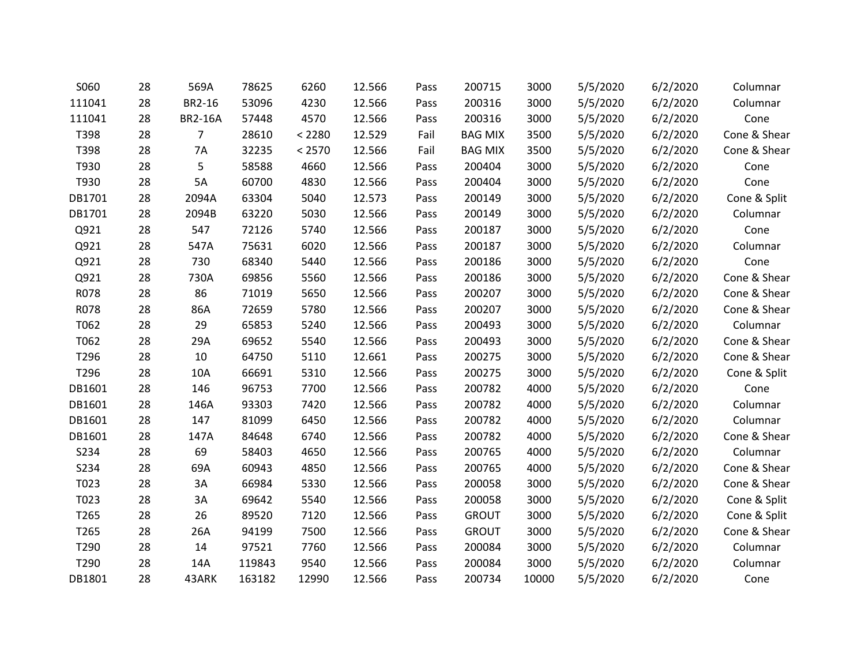| S060   | 28 | 569A           | 78625  | 6260   | 12.566 | Pass | 200715         | 3000  | 5/5/2020 | 6/2/2020 | Columnar     |
|--------|----|----------------|--------|--------|--------|------|----------------|-------|----------|----------|--------------|
| 111041 | 28 | BR2-16         | 53096  | 4230   | 12.566 | Pass | 200316         | 3000  | 5/5/2020 | 6/2/2020 | Columnar     |
| 111041 | 28 | <b>BR2-16A</b> | 57448  | 4570   | 12.566 | Pass | 200316         | 3000  | 5/5/2020 | 6/2/2020 | Cone         |
| T398   | 28 | 7              | 28610  | < 2280 | 12.529 | Fail | <b>BAG MIX</b> | 3500  | 5/5/2020 | 6/2/2020 | Cone & Shear |
| T398   | 28 | <b>7A</b>      | 32235  | < 2570 | 12.566 | Fail | <b>BAG MIX</b> | 3500  | 5/5/2020 | 6/2/2020 | Cone & Shear |
| T930   | 28 | 5              | 58588  | 4660   | 12.566 | Pass | 200404         | 3000  | 5/5/2020 | 6/2/2020 | Cone         |
| T930   | 28 | 5A             | 60700  | 4830   | 12.566 | Pass | 200404         | 3000  | 5/5/2020 | 6/2/2020 | Cone         |
| DB1701 | 28 | 2094A          | 63304  | 5040   | 12.573 | Pass | 200149         | 3000  | 5/5/2020 | 6/2/2020 | Cone & Split |
| DB1701 | 28 | 2094B          | 63220  | 5030   | 12.566 | Pass | 200149         | 3000  | 5/5/2020 | 6/2/2020 | Columnar     |
| Q921   | 28 | 547            | 72126  | 5740   | 12.566 | Pass | 200187         | 3000  | 5/5/2020 | 6/2/2020 | Cone         |
| Q921   | 28 | 547A           | 75631  | 6020   | 12.566 | Pass | 200187         | 3000  | 5/5/2020 | 6/2/2020 | Columnar     |
| Q921   | 28 | 730            | 68340  | 5440   | 12.566 | Pass | 200186         | 3000  | 5/5/2020 | 6/2/2020 | Cone         |
| Q921   | 28 | 730A           | 69856  | 5560   | 12.566 | Pass | 200186         | 3000  | 5/5/2020 | 6/2/2020 | Cone & Shear |
| R078   | 28 | 86             | 71019  | 5650   | 12.566 | Pass | 200207         | 3000  | 5/5/2020 | 6/2/2020 | Cone & Shear |
| R078   | 28 | 86A            | 72659  | 5780   | 12.566 | Pass | 200207         | 3000  | 5/5/2020 | 6/2/2020 | Cone & Shear |
| T062   | 28 | 29             | 65853  | 5240   | 12.566 | Pass | 200493         | 3000  | 5/5/2020 | 6/2/2020 | Columnar     |
| T062   | 28 | 29A            | 69652  | 5540   | 12.566 | Pass | 200493         | 3000  | 5/5/2020 | 6/2/2020 | Cone & Shear |
| T296   | 28 | 10             | 64750  | 5110   | 12.661 | Pass | 200275         | 3000  | 5/5/2020 | 6/2/2020 | Cone & Shear |
| T296   | 28 | 10A            | 66691  | 5310   | 12.566 | Pass | 200275         | 3000  | 5/5/2020 | 6/2/2020 | Cone & Split |
| DB1601 | 28 | 146            | 96753  | 7700   | 12.566 | Pass | 200782         | 4000  | 5/5/2020 | 6/2/2020 | Cone         |
| DB1601 | 28 | 146A           | 93303  | 7420   | 12.566 | Pass | 200782         | 4000  | 5/5/2020 | 6/2/2020 | Columnar     |
| DB1601 | 28 | 147            | 81099  | 6450   | 12.566 | Pass | 200782         | 4000  | 5/5/2020 | 6/2/2020 | Columnar     |
| DB1601 | 28 | 147A           | 84648  | 6740   | 12.566 | Pass | 200782         | 4000  | 5/5/2020 | 6/2/2020 | Cone & Shear |
| S234   | 28 | 69             | 58403  | 4650   | 12.566 | Pass | 200765         | 4000  | 5/5/2020 | 6/2/2020 | Columnar     |
| S234   | 28 | 69A            | 60943  | 4850   | 12.566 | Pass | 200765         | 4000  | 5/5/2020 | 6/2/2020 | Cone & Shear |
| T023   | 28 | 3A             | 66984  | 5330   | 12.566 | Pass | 200058         | 3000  | 5/5/2020 | 6/2/2020 | Cone & Shear |
| T023   | 28 | 3A             | 69642  | 5540   | 12.566 | Pass | 200058         | 3000  | 5/5/2020 | 6/2/2020 | Cone & Split |
| T265   | 28 | 26             | 89520  | 7120   | 12.566 | Pass | <b>GROUT</b>   | 3000  | 5/5/2020 | 6/2/2020 | Cone & Split |
| T265   | 28 | 26A            | 94199  | 7500   | 12.566 | Pass | <b>GROUT</b>   | 3000  | 5/5/2020 | 6/2/2020 | Cone & Shear |
| T290   | 28 | 14             | 97521  | 7760   | 12.566 | Pass | 200084         | 3000  | 5/5/2020 | 6/2/2020 | Columnar     |
| T290   | 28 | 14A            | 119843 | 9540   | 12.566 | Pass | 200084         | 3000  | 5/5/2020 | 6/2/2020 | Columnar     |
| DB1801 | 28 | 43ARK          | 163182 | 12990  | 12.566 | Pass | 200734         | 10000 | 5/5/2020 | 6/2/2020 | Cone         |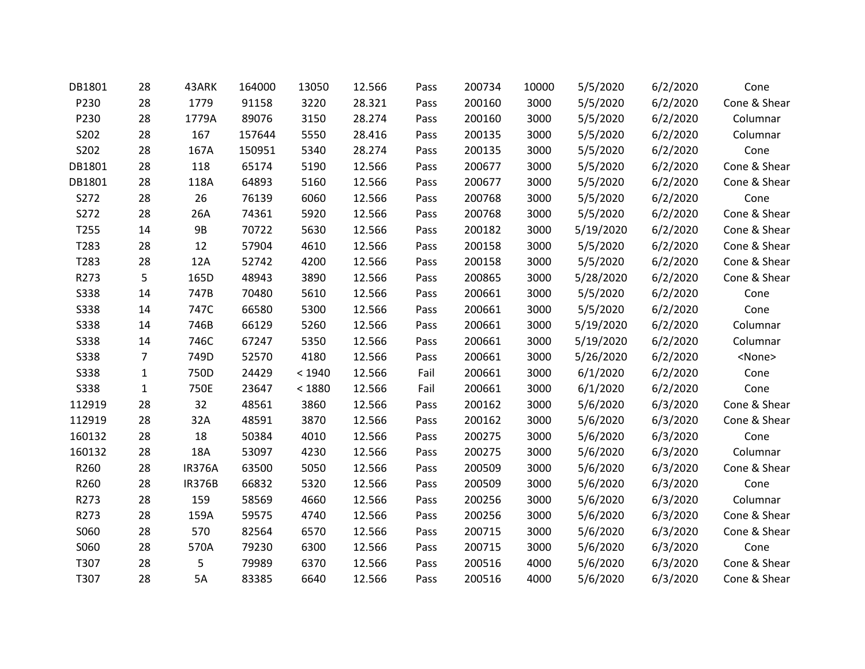| DB1801      | 28             | 43ARK         | 164000 | 13050  | 12.566 | Pass | 200734 | 10000 | 5/5/2020  | 6/2/2020 | Cone          |
|-------------|----------------|---------------|--------|--------|--------|------|--------|-------|-----------|----------|---------------|
| P230        | 28             | 1779          | 91158  | 3220   | 28.321 | Pass | 200160 | 3000  | 5/5/2020  | 6/2/2020 | Cone & Shear  |
| P230        | 28             | 1779A         | 89076  | 3150   | 28.274 | Pass | 200160 | 3000  | 5/5/2020  | 6/2/2020 | Columnar      |
| S202        | 28             | 167           | 157644 | 5550   | 28.416 | Pass | 200135 | 3000  | 5/5/2020  | 6/2/2020 | Columnar      |
| S202        | 28             | 167A          | 150951 | 5340   | 28.274 | Pass | 200135 | 3000  | 5/5/2020  | 6/2/2020 | Cone          |
| DB1801      | 28             | 118           | 65174  | 5190   | 12.566 | Pass | 200677 | 3000  | 5/5/2020  | 6/2/2020 | Cone & Shear  |
| DB1801      | 28             | 118A          | 64893  | 5160   | 12.566 | Pass | 200677 | 3000  | 5/5/2020  | 6/2/2020 | Cone & Shear  |
| S272        | 28             | 26            | 76139  | 6060   | 12.566 | Pass | 200768 | 3000  | 5/5/2020  | 6/2/2020 | Cone          |
| S272        | 28             | 26A           | 74361  | 5920   | 12.566 | Pass | 200768 | 3000  | 5/5/2020  | 6/2/2020 | Cone & Shear  |
| T255        | 14             | <b>9B</b>     | 70722  | 5630   | 12.566 | Pass | 200182 | 3000  | 5/19/2020 | 6/2/2020 | Cone & Shear  |
| T283        | 28             | 12            | 57904  | 4610   | 12.566 | Pass | 200158 | 3000  | 5/5/2020  | 6/2/2020 | Cone & Shear  |
| T283        | 28             | 12A           | 52742  | 4200   | 12.566 | Pass | 200158 | 3000  | 5/5/2020  | 6/2/2020 | Cone & Shear  |
| R273        | 5              | 165D          | 48943  | 3890   | 12.566 | Pass | 200865 | 3000  | 5/28/2020 | 6/2/2020 | Cone & Shear  |
| S338        | 14             | 747B          | 70480  | 5610   | 12.566 | Pass | 200661 | 3000  | 5/5/2020  | 6/2/2020 | Cone          |
| S338        | 14             | 747C          | 66580  | 5300   | 12.566 | Pass | 200661 | 3000  | 5/5/2020  | 6/2/2020 | Cone          |
| <b>S338</b> | 14             | 746B          | 66129  | 5260   | 12.566 | Pass | 200661 | 3000  | 5/19/2020 | 6/2/2020 | Columnar      |
| <b>S338</b> | 14             | 746C          | 67247  | 5350   | 12.566 | Pass | 200661 | 3000  | 5/19/2020 | 6/2/2020 | Columnar      |
| <b>S338</b> | $\overline{7}$ | 749D          | 52570  | 4180   | 12.566 | Pass | 200661 | 3000  | 5/26/2020 | 6/2/2020 | <none></none> |
| <b>S338</b> | $\mathbf{1}$   | 750D          | 24429  | < 1940 | 12.566 | Fail | 200661 | 3000  | 6/1/2020  | 6/2/2020 | Cone          |
| <b>S338</b> | $\mathbf{1}$   | 750E          | 23647  | < 1880 | 12.566 | Fail | 200661 | 3000  | 6/1/2020  | 6/2/2020 | Cone          |
| 112919      | 28             | 32            | 48561  | 3860   | 12.566 | Pass | 200162 | 3000  | 5/6/2020  | 6/3/2020 | Cone & Shear  |
| 112919      | 28             | 32A           | 48591  | 3870   | 12.566 | Pass | 200162 | 3000  | 5/6/2020  | 6/3/2020 | Cone & Shear  |
| 160132      | 28             | 18            | 50384  | 4010   | 12.566 | Pass | 200275 | 3000  | 5/6/2020  | 6/3/2020 | Cone          |
| 160132      | 28             | 18A           | 53097  | 4230   | 12.566 | Pass | 200275 | 3000  | 5/6/2020  | 6/3/2020 | Columnar      |
| R260        | 28             | <b>IR376A</b> | 63500  | 5050   | 12.566 | Pass | 200509 | 3000  | 5/6/2020  | 6/3/2020 | Cone & Shear  |
| R260        | 28             | <b>IR376B</b> | 66832  | 5320   | 12.566 | Pass | 200509 | 3000  | 5/6/2020  | 6/3/2020 | Cone          |
| R273        | 28             | 159           | 58569  | 4660   | 12.566 | Pass | 200256 | 3000  | 5/6/2020  | 6/3/2020 | Columnar      |
| R273        | 28             | 159A          | 59575  | 4740   | 12.566 | Pass | 200256 | 3000  | 5/6/2020  | 6/3/2020 | Cone & Shear  |
| S060        | 28             | 570           | 82564  | 6570   | 12.566 | Pass | 200715 | 3000  | 5/6/2020  | 6/3/2020 | Cone & Shear  |
| S060        | 28             | 570A          | 79230  | 6300   | 12.566 | Pass | 200715 | 3000  | 5/6/2020  | 6/3/2020 | Cone          |
| T307        | 28             | 5             | 79989  | 6370   | 12.566 | Pass | 200516 | 4000  | 5/6/2020  | 6/3/2020 | Cone & Shear  |
| T307        | 28             | 5A            | 83385  | 6640   | 12.566 | Pass | 200516 | 4000  | 5/6/2020  | 6/3/2020 | Cone & Shear  |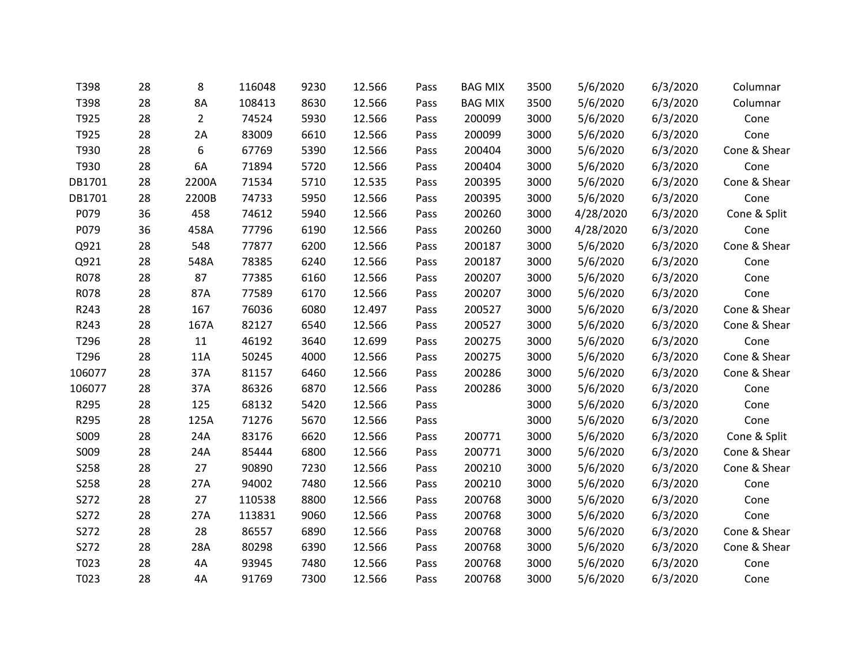| T398   | 28 | 8              | 116048 | 9230 | 12.566 | Pass | <b>BAG MIX</b> | 3500 | 5/6/2020  | 6/3/2020 | Columnar     |
|--------|----|----------------|--------|------|--------|------|----------------|------|-----------|----------|--------------|
| T398   | 28 | 8A             | 108413 | 8630 | 12.566 | Pass | <b>BAG MIX</b> | 3500 | 5/6/2020  | 6/3/2020 | Columnar     |
| T925   | 28 | $\overline{2}$ | 74524  | 5930 | 12.566 | Pass | 200099         | 3000 | 5/6/2020  | 6/3/2020 | Cone         |
| T925   | 28 | 2A             | 83009  | 6610 | 12.566 | Pass | 200099         | 3000 | 5/6/2020  | 6/3/2020 | Cone         |
| T930   | 28 | 6              | 67769  | 5390 | 12.566 | Pass | 200404         | 3000 | 5/6/2020  | 6/3/2020 | Cone & Shear |
| T930   | 28 | 6A             | 71894  | 5720 | 12.566 | Pass | 200404         | 3000 | 5/6/2020  | 6/3/2020 | Cone         |
| DB1701 | 28 | 2200A          | 71534  | 5710 | 12.535 | Pass | 200395         | 3000 | 5/6/2020  | 6/3/2020 | Cone & Shear |
| DB1701 | 28 | 2200B          | 74733  | 5950 | 12.566 | Pass | 200395         | 3000 | 5/6/2020  | 6/3/2020 | Cone         |
| P079   | 36 | 458            | 74612  | 5940 | 12.566 | Pass | 200260         | 3000 | 4/28/2020 | 6/3/2020 | Cone & Split |
| P079   | 36 | 458A           | 77796  | 6190 | 12.566 | Pass | 200260         | 3000 | 4/28/2020 | 6/3/2020 | Cone         |
| Q921   | 28 | 548            | 77877  | 6200 | 12.566 | Pass | 200187         | 3000 | 5/6/2020  | 6/3/2020 | Cone & Shear |
| Q921   | 28 | 548A           | 78385  | 6240 | 12.566 | Pass | 200187         | 3000 | 5/6/2020  | 6/3/2020 | Cone         |
| R078   | 28 | 87             | 77385  | 6160 | 12.566 | Pass | 200207         | 3000 | 5/6/2020  | 6/3/2020 | Cone         |
| R078   | 28 | 87A            | 77589  | 6170 | 12.566 | Pass | 200207         | 3000 | 5/6/2020  | 6/3/2020 | Cone         |
| R243   | 28 | 167            | 76036  | 6080 | 12.497 | Pass | 200527         | 3000 | 5/6/2020  | 6/3/2020 | Cone & Shear |
| R243   | 28 | 167A           | 82127  | 6540 | 12.566 | Pass | 200527         | 3000 | 5/6/2020  | 6/3/2020 | Cone & Shear |
| T296   | 28 | 11             | 46192  | 3640 | 12.699 | Pass | 200275         | 3000 | 5/6/2020  | 6/3/2020 | Cone         |
| T296   | 28 | 11A            | 50245  | 4000 | 12.566 | Pass | 200275         | 3000 | 5/6/2020  | 6/3/2020 | Cone & Shear |
| 106077 | 28 | 37A            | 81157  | 6460 | 12.566 | Pass | 200286         | 3000 | 5/6/2020  | 6/3/2020 | Cone & Shear |
| 106077 | 28 | 37A            | 86326  | 6870 | 12.566 | Pass | 200286         | 3000 | 5/6/2020  | 6/3/2020 | Cone         |
| R295   | 28 | 125            | 68132  | 5420 | 12.566 | Pass |                | 3000 | 5/6/2020  | 6/3/2020 | Cone         |
| R295   | 28 | 125A           | 71276  | 5670 | 12.566 | Pass |                | 3000 | 5/6/2020  | 6/3/2020 | Cone         |
| S009   | 28 | 24A            | 83176  | 6620 | 12.566 | Pass | 200771         | 3000 | 5/6/2020  | 6/3/2020 | Cone & Split |
| S009   | 28 | 24A            | 85444  | 6800 | 12.566 | Pass | 200771         | 3000 | 5/6/2020  | 6/3/2020 | Cone & Shear |
| S258   | 28 | 27             | 90890  | 7230 | 12.566 | Pass | 200210         | 3000 | 5/6/2020  | 6/3/2020 | Cone & Shear |
| S258   | 28 | 27A            | 94002  | 7480 | 12.566 | Pass | 200210         | 3000 | 5/6/2020  | 6/3/2020 | Cone         |
| S272   | 28 | 27             | 110538 | 8800 | 12.566 | Pass | 200768         | 3000 | 5/6/2020  | 6/3/2020 | Cone         |
| S272   | 28 | 27A            | 113831 | 9060 | 12.566 | Pass | 200768         | 3000 | 5/6/2020  | 6/3/2020 | Cone         |
| S272   | 28 | 28             | 86557  | 6890 | 12.566 | Pass | 200768         | 3000 | 5/6/2020  | 6/3/2020 | Cone & Shear |
| S272   | 28 | 28A            | 80298  | 6390 | 12.566 | Pass | 200768         | 3000 | 5/6/2020  | 6/3/2020 | Cone & Shear |
| T023   | 28 | 4A             | 93945  | 7480 | 12.566 | Pass | 200768         | 3000 | 5/6/2020  | 6/3/2020 | Cone         |
| T023   | 28 | 4A             | 91769  | 7300 | 12.566 | Pass | 200768         | 3000 | 5/6/2020  | 6/3/2020 | Cone         |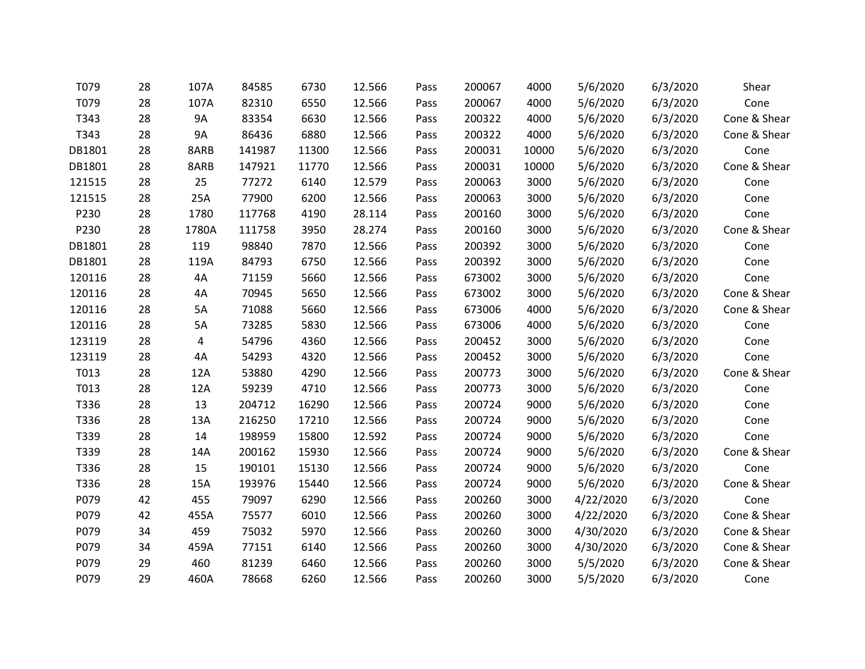| T079   | 28 | 107A      | 84585  | 6730  | 12.566 | Pass | 200067 | 4000  | 5/6/2020  | 6/3/2020 | Shear        |
|--------|----|-----------|--------|-------|--------|------|--------|-------|-----------|----------|--------------|
| T079   | 28 | 107A      | 82310  | 6550  | 12.566 | Pass | 200067 | 4000  | 5/6/2020  | 6/3/2020 | Cone         |
| T343   | 28 | <b>9A</b> | 83354  | 6630  | 12.566 | Pass | 200322 | 4000  | 5/6/2020  | 6/3/2020 | Cone & Shear |
| T343   | 28 | 9A        | 86436  | 6880  | 12.566 | Pass | 200322 | 4000  | 5/6/2020  | 6/3/2020 | Cone & Shear |
| DB1801 | 28 | 8ARB      | 141987 | 11300 | 12.566 | Pass | 200031 | 10000 | 5/6/2020  | 6/3/2020 | Cone         |
| DB1801 | 28 | 8ARB      | 147921 | 11770 | 12.566 | Pass | 200031 | 10000 | 5/6/2020  | 6/3/2020 | Cone & Shear |
| 121515 | 28 | 25        | 77272  | 6140  | 12.579 | Pass | 200063 | 3000  | 5/6/2020  | 6/3/2020 | Cone         |
| 121515 | 28 | 25A       | 77900  | 6200  | 12.566 | Pass | 200063 | 3000  | 5/6/2020  | 6/3/2020 | Cone         |
| P230   | 28 | 1780      | 117768 | 4190  | 28.114 | Pass | 200160 | 3000  | 5/6/2020  | 6/3/2020 | Cone         |
| P230   | 28 | 1780A     | 111758 | 3950  | 28.274 | Pass | 200160 | 3000  | 5/6/2020  | 6/3/2020 | Cone & Shear |
| DB1801 | 28 | 119       | 98840  | 7870  | 12.566 | Pass | 200392 | 3000  | 5/6/2020  | 6/3/2020 | Cone         |
| DB1801 | 28 | 119A      | 84793  | 6750  | 12.566 | Pass | 200392 | 3000  | 5/6/2020  | 6/3/2020 | Cone         |
| 120116 | 28 | 4A        | 71159  | 5660  | 12.566 | Pass | 673002 | 3000  | 5/6/2020  | 6/3/2020 | Cone         |
| 120116 | 28 | 4A        | 70945  | 5650  | 12.566 | Pass | 673002 | 3000  | 5/6/2020  | 6/3/2020 | Cone & Shear |
| 120116 | 28 | 5A        | 71088  | 5660  | 12.566 | Pass | 673006 | 4000  | 5/6/2020  | 6/3/2020 | Cone & Shear |
| 120116 | 28 | 5A        | 73285  | 5830  | 12.566 | Pass | 673006 | 4000  | 5/6/2020  | 6/3/2020 | Cone         |
| 123119 | 28 | 4         | 54796  | 4360  | 12.566 | Pass | 200452 | 3000  | 5/6/2020  | 6/3/2020 | Cone         |
| 123119 | 28 | 4A        | 54293  | 4320  | 12.566 | Pass | 200452 | 3000  | 5/6/2020  | 6/3/2020 | Cone         |
| T013   | 28 | 12A       | 53880  | 4290  | 12.566 | Pass | 200773 | 3000  | 5/6/2020  | 6/3/2020 | Cone & Shear |
| T013   | 28 | 12A       | 59239  | 4710  | 12.566 | Pass | 200773 | 3000  | 5/6/2020  | 6/3/2020 | Cone         |
| T336   | 28 | 13        | 204712 | 16290 | 12.566 | Pass | 200724 | 9000  | 5/6/2020  | 6/3/2020 | Cone         |
| T336   | 28 | 13A       | 216250 | 17210 | 12.566 | Pass | 200724 | 9000  | 5/6/2020  | 6/3/2020 | Cone         |
| T339   | 28 | 14        | 198959 | 15800 | 12.592 | Pass | 200724 | 9000  | 5/6/2020  | 6/3/2020 | Cone         |
| T339   | 28 | 14A       | 200162 | 15930 | 12.566 | Pass | 200724 | 9000  | 5/6/2020  | 6/3/2020 | Cone & Shear |
| T336   | 28 | 15        | 190101 | 15130 | 12.566 | Pass | 200724 | 9000  | 5/6/2020  | 6/3/2020 | Cone         |
| T336   | 28 | 15A       | 193976 | 15440 | 12.566 | Pass | 200724 | 9000  | 5/6/2020  | 6/3/2020 | Cone & Shear |
| P079   | 42 | 455       | 79097  | 6290  | 12.566 | Pass | 200260 | 3000  | 4/22/2020 | 6/3/2020 | Cone         |
| P079   | 42 | 455A      | 75577  | 6010  | 12.566 | Pass | 200260 | 3000  | 4/22/2020 | 6/3/2020 | Cone & Shear |
| P079   | 34 | 459       | 75032  | 5970  | 12.566 | Pass | 200260 | 3000  | 4/30/2020 | 6/3/2020 | Cone & Shear |
| P079   | 34 | 459A      | 77151  | 6140  | 12.566 | Pass | 200260 | 3000  | 4/30/2020 | 6/3/2020 | Cone & Shear |
| P079   | 29 | 460       | 81239  | 6460  | 12.566 | Pass | 200260 | 3000  | 5/5/2020  | 6/3/2020 | Cone & Shear |
| P079   | 29 | 460A      | 78668  | 6260  | 12.566 | Pass | 200260 | 3000  | 5/5/2020  | 6/3/2020 | Cone         |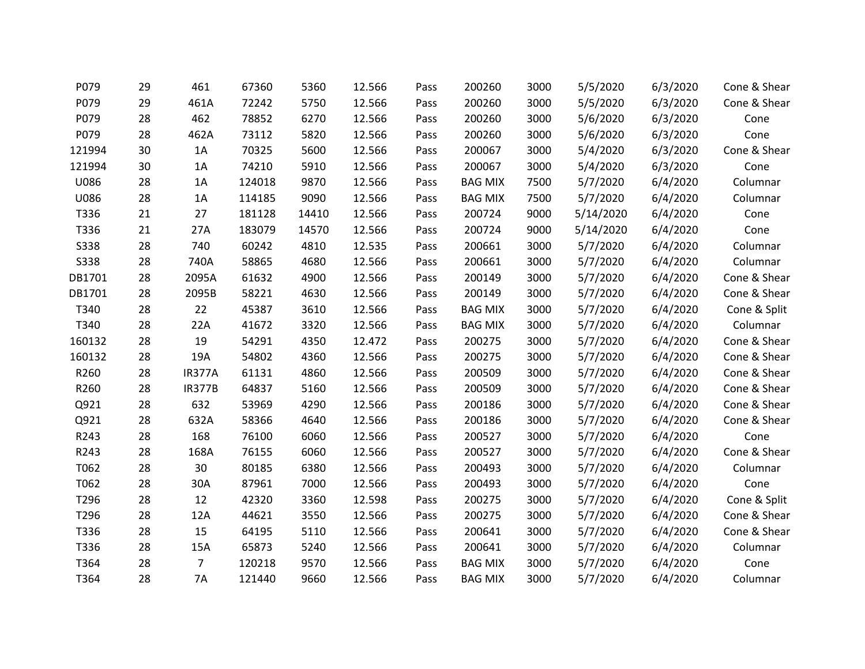| P079        | 29 | 461            | 67360  | 5360  | 12.566 | Pass | 200260         | 3000 | 5/5/2020  | 6/3/2020 | Cone & Shear |
|-------------|----|----------------|--------|-------|--------|------|----------------|------|-----------|----------|--------------|
| P079        | 29 | 461A           | 72242  | 5750  | 12.566 | Pass | 200260         | 3000 | 5/5/2020  | 6/3/2020 | Cone & Shear |
| P079        | 28 | 462            | 78852  | 6270  | 12.566 | Pass | 200260         | 3000 | 5/6/2020  | 6/3/2020 | Cone         |
| P079        | 28 | 462A           | 73112  | 5820  | 12.566 | Pass | 200260         | 3000 | 5/6/2020  | 6/3/2020 | Cone         |
| 121994      | 30 | 1A             | 70325  | 5600  | 12.566 | Pass | 200067         | 3000 | 5/4/2020  | 6/3/2020 | Cone & Shear |
| 121994      | 30 | 1A             | 74210  | 5910  | 12.566 | Pass | 200067         | 3000 | 5/4/2020  | 6/3/2020 | Cone         |
| U086        | 28 | 1A             | 124018 | 9870  | 12.566 | Pass | <b>BAG MIX</b> | 7500 | 5/7/2020  | 6/4/2020 | Columnar     |
| U086        | 28 | 1A             | 114185 | 9090  | 12.566 | Pass | <b>BAG MIX</b> | 7500 | 5/7/2020  | 6/4/2020 | Columnar     |
| T336        | 21 | 27             | 181128 | 14410 | 12.566 | Pass | 200724         | 9000 | 5/14/2020 | 6/4/2020 | Cone         |
| T336        | 21 | 27A            | 183079 | 14570 | 12.566 | Pass | 200724         | 9000 | 5/14/2020 | 6/4/2020 | Cone         |
| <b>S338</b> | 28 | 740            | 60242  | 4810  | 12.535 | Pass | 200661         | 3000 | 5/7/2020  | 6/4/2020 | Columnar     |
| <b>S338</b> | 28 | 740A           | 58865  | 4680  | 12.566 | Pass | 200661         | 3000 | 5/7/2020  | 6/4/2020 | Columnar     |
| DB1701      | 28 | 2095A          | 61632  | 4900  | 12.566 | Pass | 200149         | 3000 | 5/7/2020  | 6/4/2020 | Cone & Shear |
| DB1701      | 28 | 2095B          | 58221  | 4630  | 12.566 | Pass | 200149         | 3000 | 5/7/2020  | 6/4/2020 | Cone & Shear |
| T340        | 28 | 22             | 45387  | 3610  | 12.566 | Pass | <b>BAG MIX</b> | 3000 | 5/7/2020  | 6/4/2020 | Cone & Split |
| T340        | 28 | 22A            | 41672  | 3320  | 12.566 | Pass | <b>BAG MIX</b> | 3000 | 5/7/2020  | 6/4/2020 | Columnar     |
| 160132      | 28 | 19             | 54291  | 4350  | 12.472 | Pass | 200275         | 3000 | 5/7/2020  | 6/4/2020 | Cone & Shear |
| 160132      | 28 | 19A            | 54802  | 4360  | 12.566 | Pass | 200275         | 3000 | 5/7/2020  | 6/4/2020 | Cone & Shear |
| R260        | 28 | IR377A         | 61131  | 4860  | 12.566 | Pass | 200509         | 3000 | 5/7/2020  | 6/4/2020 | Cone & Shear |
| R260        | 28 | <b>IR377B</b>  | 64837  | 5160  | 12.566 | Pass | 200509         | 3000 | 5/7/2020  | 6/4/2020 | Cone & Shear |
| Q921        | 28 | 632            | 53969  | 4290  | 12.566 | Pass | 200186         | 3000 | 5/7/2020  | 6/4/2020 | Cone & Shear |
| Q921        | 28 | 632A           | 58366  | 4640  | 12.566 | Pass | 200186         | 3000 | 5/7/2020  | 6/4/2020 | Cone & Shear |
| R243        | 28 | 168            | 76100  | 6060  | 12.566 | Pass | 200527         | 3000 | 5/7/2020  | 6/4/2020 | Cone         |
| R243        | 28 | 168A           | 76155  | 6060  | 12.566 | Pass | 200527         | 3000 | 5/7/2020  | 6/4/2020 | Cone & Shear |
| T062        | 28 | 30             | 80185  | 6380  | 12.566 | Pass | 200493         | 3000 | 5/7/2020  | 6/4/2020 | Columnar     |
| T062        | 28 | 30A            | 87961  | 7000  | 12.566 | Pass | 200493         | 3000 | 5/7/2020  | 6/4/2020 | Cone         |
| T296        | 28 | 12             | 42320  | 3360  | 12.598 | Pass | 200275         | 3000 | 5/7/2020  | 6/4/2020 | Cone & Split |
| T296        | 28 | 12A            | 44621  | 3550  | 12.566 | Pass | 200275         | 3000 | 5/7/2020  | 6/4/2020 | Cone & Shear |
| T336        | 28 | 15             | 64195  | 5110  | 12.566 | Pass | 200641         | 3000 | 5/7/2020  | 6/4/2020 | Cone & Shear |
| T336        | 28 | 15A            | 65873  | 5240  | 12.566 | Pass | 200641         | 3000 | 5/7/2020  | 6/4/2020 | Columnar     |
| T364        | 28 | $\overline{7}$ | 120218 | 9570  | 12.566 | Pass | <b>BAG MIX</b> | 3000 | 5/7/2020  | 6/4/2020 | Cone         |
| T364        | 28 | <b>7A</b>      | 121440 | 9660  | 12.566 | Pass | <b>BAG MIX</b> | 3000 | 5/7/2020  | 6/4/2020 | Columnar     |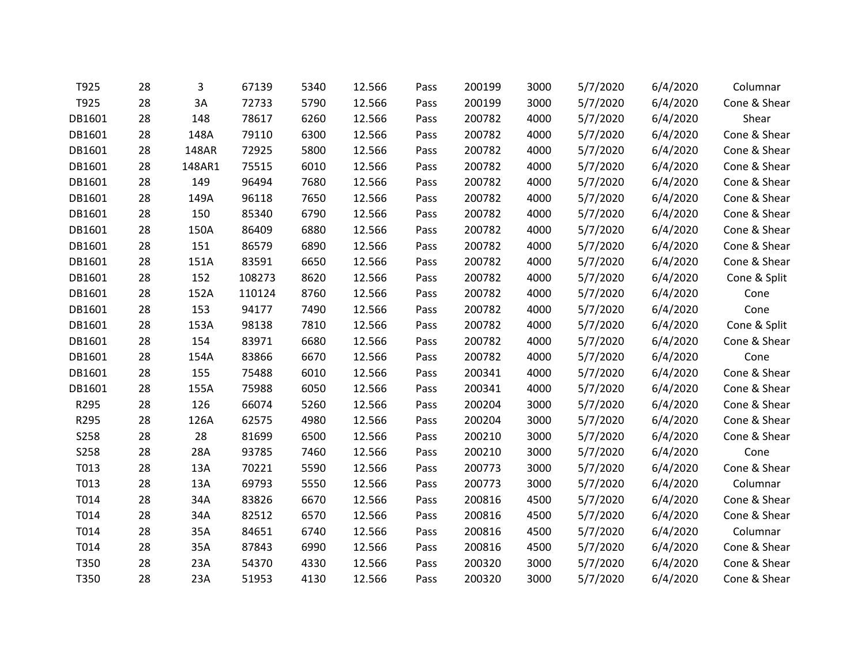| T925        | 28 | 3      | 67139  | 5340 | 12.566 | Pass | 200199 | 3000 | 5/7/2020 | 6/4/2020 | Columnar     |
|-------------|----|--------|--------|------|--------|------|--------|------|----------|----------|--------------|
| T925        | 28 | 3A     | 72733  | 5790 | 12.566 | Pass | 200199 | 3000 | 5/7/2020 | 6/4/2020 | Cone & Shear |
| DB1601      | 28 | 148    | 78617  | 6260 | 12.566 | Pass | 200782 | 4000 | 5/7/2020 | 6/4/2020 | Shear        |
| DB1601      | 28 | 148A   | 79110  | 6300 | 12.566 | Pass | 200782 | 4000 | 5/7/2020 | 6/4/2020 | Cone & Shear |
| DB1601      | 28 | 148AR  | 72925  | 5800 | 12.566 | Pass | 200782 | 4000 | 5/7/2020 | 6/4/2020 | Cone & Shear |
| DB1601      | 28 | 148AR1 | 75515  | 6010 | 12.566 | Pass | 200782 | 4000 | 5/7/2020 | 6/4/2020 | Cone & Shear |
| DB1601      | 28 | 149    | 96494  | 7680 | 12.566 | Pass | 200782 | 4000 | 5/7/2020 | 6/4/2020 | Cone & Shear |
| DB1601      | 28 | 149A   | 96118  | 7650 | 12.566 | Pass | 200782 | 4000 | 5/7/2020 | 6/4/2020 | Cone & Shear |
| DB1601      | 28 | 150    | 85340  | 6790 | 12.566 | Pass | 200782 | 4000 | 5/7/2020 | 6/4/2020 | Cone & Shear |
| DB1601      | 28 | 150A   | 86409  | 6880 | 12.566 | Pass | 200782 | 4000 | 5/7/2020 | 6/4/2020 | Cone & Shear |
| DB1601      | 28 | 151    | 86579  | 6890 | 12.566 | Pass | 200782 | 4000 | 5/7/2020 | 6/4/2020 | Cone & Shear |
| DB1601      | 28 | 151A   | 83591  | 6650 | 12.566 | Pass | 200782 | 4000 | 5/7/2020 | 6/4/2020 | Cone & Shear |
| DB1601      | 28 | 152    | 108273 | 8620 | 12.566 | Pass | 200782 | 4000 | 5/7/2020 | 6/4/2020 | Cone & Split |
| DB1601      | 28 | 152A   | 110124 | 8760 | 12.566 | Pass | 200782 | 4000 | 5/7/2020 | 6/4/2020 | Cone         |
| DB1601      | 28 | 153    | 94177  | 7490 | 12.566 | Pass | 200782 | 4000 | 5/7/2020 | 6/4/2020 | Cone         |
| DB1601      | 28 | 153A   | 98138  | 7810 | 12.566 | Pass | 200782 | 4000 | 5/7/2020 | 6/4/2020 | Cone & Split |
| DB1601      | 28 | 154    | 83971  | 6680 | 12.566 | Pass | 200782 | 4000 | 5/7/2020 | 6/4/2020 | Cone & Shear |
| DB1601      | 28 | 154A   | 83866  | 6670 | 12.566 | Pass | 200782 | 4000 | 5/7/2020 | 6/4/2020 | Cone         |
| DB1601      | 28 | 155    | 75488  | 6010 | 12.566 | Pass | 200341 | 4000 | 5/7/2020 | 6/4/2020 | Cone & Shear |
| DB1601      | 28 | 155A   | 75988  | 6050 | 12.566 | Pass | 200341 | 4000 | 5/7/2020 | 6/4/2020 | Cone & Shear |
| R295        | 28 | 126    | 66074  | 5260 | 12.566 | Pass | 200204 | 3000 | 5/7/2020 | 6/4/2020 | Cone & Shear |
| R295        | 28 | 126A   | 62575  | 4980 | 12.566 | Pass | 200204 | 3000 | 5/7/2020 | 6/4/2020 | Cone & Shear |
| S258        | 28 | 28     | 81699  | 6500 | 12.566 | Pass | 200210 | 3000 | 5/7/2020 | 6/4/2020 | Cone & Shear |
| <b>S258</b> | 28 | 28A    | 93785  | 7460 | 12.566 | Pass | 200210 | 3000 | 5/7/2020 | 6/4/2020 | Cone         |
| T013        | 28 | 13A    | 70221  | 5590 | 12.566 | Pass | 200773 | 3000 | 5/7/2020 | 6/4/2020 | Cone & Shear |
| T013        | 28 | 13A    | 69793  | 5550 | 12.566 | Pass | 200773 | 3000 | 5/7/2020 | 6/4/2020 | Columnar     |
| T014        | 28 | 34A    | 83826  | 6670 | 12.566 | Pass | 200816 | 4500 | 5/7/2020 | 6/4/2020 | Cone & Shear |
| T014        | 28 | 34A    | 82512  | 6570 | 12.566 | Pass | 200816 | 4500 | 5/7/2020 | 6/4/2020 | Cone & Shear |
| T014        | 28 | 35A    | 84651  | 6740 | 12.566 | Pass | 200816 | 4500 | 5/7/2020 | 6/4/2020 | Columnar     |
| T014        | 28 | 35A    | 87843  | 6990 | 12.566 | Pass | 200816 | 4500 | 5/7/2020 | 6/4/2020 | Cone & Shear |
| T350        | 28 | 23A    | 54370  | 4330 | 12.566 | Pass | 200320 | 3000 | 5/7/2020 | 6/4/2020 | Cone & Shear |
| T350        | 28 | 23A    | 51953  | 4130 | 12.566 | Pass | 200320 | 3000 | 5/7/2020 | 6/4/2020 | Cone & Shear |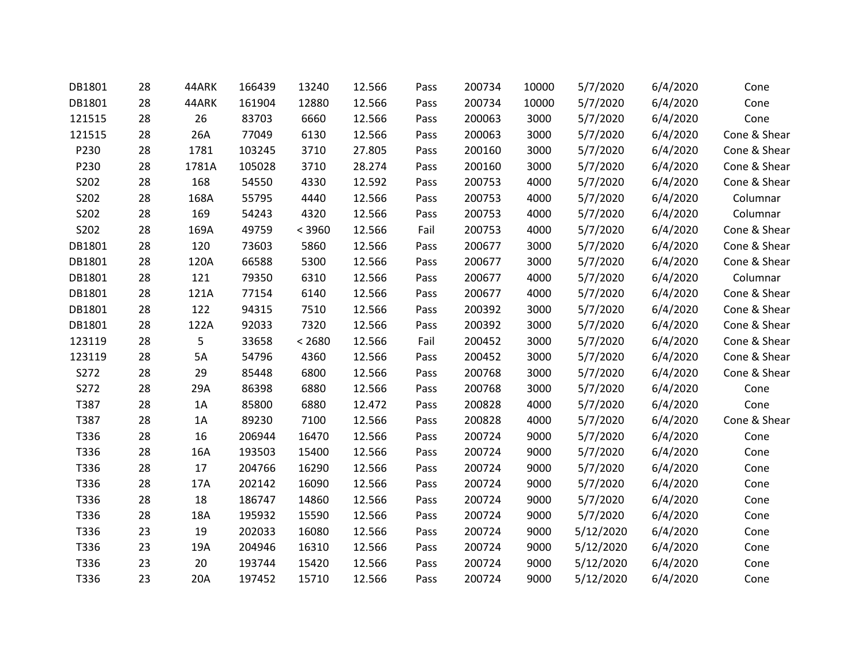| DB1801 | 28 | 44ARK | 166439 | 13240  | 12.566 | Pass | 200734 | 10000 | 5/7/2020  | 6/4/2020 | Cone         |
|--------|----|-------|--------|--------|--------|------|--------|-------|-----------|----------|--------------|
| DB1801 | 28 | 44ARK | 161904 | 12880  | 12.566 | Pass | 200734 | 10000 | 5/7/2020  | 6/4/2020 | Cone         |
| 121515 | 28 | 26    | 83703  | 6660   | 12.566 | Pass | 200063 | 3000  | 5/7/2020  | 6/4/2020 | Cone         |
| 121515 | 28 | 26A   | 77049  | 6130   | 12.566 | Pass | 200063 | 3000  | 5/7/2020  | 6/4/2020 | Cone & Shear |
| P230   | 28 | 1781  | 103245 | 3710   | 27.805 | Pass | 200160 | 3000  | 5/7/2020  | 6/4/2020 | Cone & Shear |
| P230   | 28 | 1781A | 105028 | 3710   | 28.274 | Pass | 200160 | 3000  | 5/7/2020  | 6/4/2020 | Cone & Shear |
| S202   | 28 | 168   | 54550  | 4330   | 12.592 | Pass | 200753 | 4000  | 5/7/2020  | 6/4/2020 | Cone & Shear |
| S202   | 28 | 168A  | 55795  | 4440   | 12.566 | Pass | 200753 | 4000  | 5/7/2020  | 6/4/2020 | Columnar     |
| S202   | 28 | 169   | 54243  | 4320   | 12.566 | Pass | 200753 | 4000  | 5/7/2020  | 6/4/2020 | Columnar     |
| S202   | 28 | 169A  | 49759  | < 3960 | 12.566 | Fail | 200753 | 4000  | 5/7/2020  | 6/4/2020 | Cone & Shear |
| DB1801 | 28 | 120   | 73603  | 5860   | 12.566 | Pass | 200677 | 3000  | 5/7/2020  | 6/4/2020 | Cone & Shear |
| DB1801 | 28 | 120A  | 66588  | 5300   | 12.566 | Pass | 200677 | 3000  | 5/7/2020  | 6/4/2020 | Cone & Shear |
| DB1801 | 28 | 121   | 79350  | 6310   | 12.566 | Pass | 200677 | 4000  | 5/7/2020  | 6/4/2020 | Columnar     |
| DB1801 | 28 | 121A  | 77154  | 6140   | 12.566 | Pass | 200677 | 4000  | 5/7/2020  | 6/4/2020 | Cone & Shear |
| DB1801 | 28 | 122   | 94315  | 7510   | 12.566 | Pass | 200392 | 3000  | 5/7/2020  | 6/4/2020 | Cone & Shear |
| DB1801 | 28 | 122A  | 92033  | 7320   | 12.566 | Pass | 200392 | 3000  | 5/7/2020  | 6/4/2020 | Cone & Shear |
| 123119 | 28 | 5     | 33658  | < 2680 | 12.566 | Fail | 200452 | 3000  | 5/7/2020  | 6/4/2020 | Cone & Shear |
| 123119 | 28 | 5A    | 54796  | 4360   | 12.566 | Pass | 200452 | 3000  | 5/7/2020  | 6/4/2020 | Cone & Shear |
| S272   | 28 | 29    | 85448  | 6800   | 12.566 | Pass | 200768 | 3000  | 5/7/2020  | 6/4/2020 | Cone & Shear |
| S272   | 28 | 29A   | 86398  | 6880   | 12.566 | Pass | 200768 | 3000  | 5/7/2020  | 6/4/2020 | Cone         |
| T387   | 28 | 1A    | 85800  | 6880   | 12.472 | Pass | 200828 | 4000  | 5/7/2020  | 6/4/2020 | Cone         |
| T387   | 28 | 1A    | 89230  | 7100   | 12.566 | Pass | 200828 | 4000  | 5/7/2020  | 6/4/2020 | Cone & Shear |
| T336   | 28 | 16    | 206944 | 16470  | 12.566 | Pass | 200724 | 9000  | 5/7/2020  | 6/4/2020 | Cone         |
| T336   | 28 | 16A   | 193503 | 15400  | 12.566 | Pass | 200724 | 9000  | 5/7/2020  | 6/4/2020 | Cone         |
| T336   | 28 | 17    | 204766 | 16290  | 12.566 | Pass | 200724 | 9000  | 5/7/2020  | 6/4/2020 | Cone         |
| T336   | 28 | 17A   | 202142 | 16090  | 12.566 | Pass | 200724 | 9000  | 5/7/2020  | 6/4/2020 | Cone         |
| T336   | 28 | 18    | 186747 | 14860  | 12.566 | Pass | 200724 | 9000  | 5/7/2020  | 6/4/2020 | Cone         |
| T336   | 28 | 18A   | 195932 | 15590  | 12.566 | Pass | 200724 | 9000  | 5/7/2020  | 6/4/2020 | Cone         |
| T336   | 23 | 19    | 202033 | 16080  | 12.566 | Pass | 200724 | 9000  | 5/12/2020 | 6/4/2020 | Cone         |
| T336   | 23 | 19A   | 204946 | 16310  | 12.566 | Pass | 200724 | 9000  | 5/12/2020 | 6/4/2020 | Cone         |
| T336   | 23 | 20    | 193744 | 15420  | 12.566 | Pass | 200724 | 9000  | 5/12/2020 | 6/4/2020 | Cone         |
| T336   | 23 | 20A   | 197452 | 15710  | 12.566 | Pass | 200724 | 9000  | 5/12/2020 | 6/4/2020 | Cone         |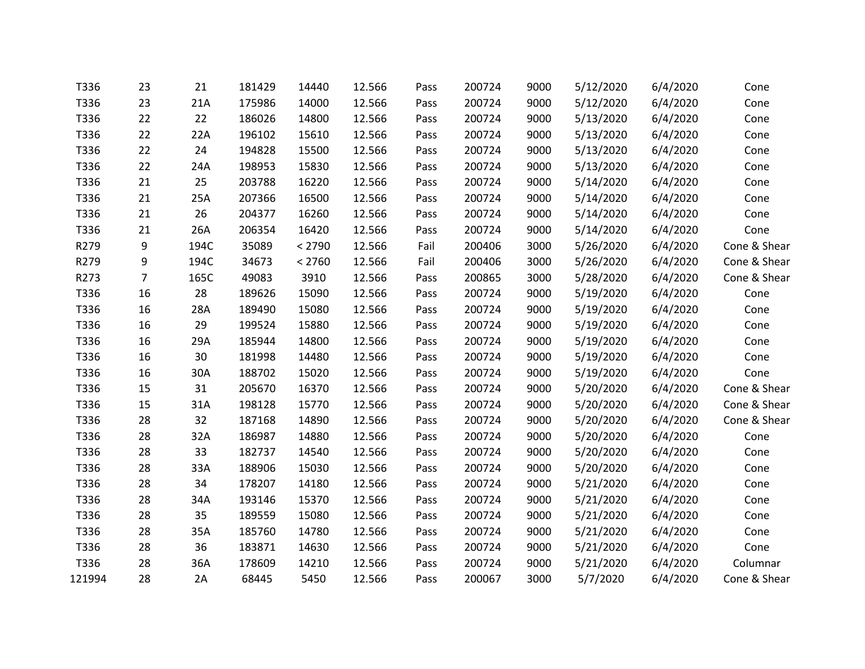| T336   | 23             | 21   | 181429 | 14440  | 12.566 | Pass | 200724 | 9000 | 5/12/2020 | 6/4/2020 | Cone         |
|--------|----------------|------|--------|--------|--------|------|--------|------|-----------|----------|--------------|
| T336   | 23             | 21A  | 175986 | 14000  | 12.566 | Pass | 200724 | 9000 | 5/12/2020 | 6/4/2020 | Cone         |
| T336   | 22             | 22   | 186026 | 14800  | 12.566 | Pass | 200724 | 9000 | 5/13/2020 | 6/4/2020 | Cone         |
| T336   | 22             | 22A  | 196102 | 15610  | 12.566 | Pass | 200724 | 9000 | 5/13/2020 | 6/4/2020 | Cone         |
| T336   | 22             | 24   | 194828 | 15500  | 12.566 | Pass | 200724 | 9000 | 5/13/2020 | 6/4/2020 | Cone         |
| T336   | 22             | 24A  | 198953 | 15830  | 12.566 | Pass | 200724 | 9000 | 5/13/2020 | 6/4/2020 | Cone         |
| T336   | 21             | 25   | 203788 | 16220  | 12.566 | Pass | 200724 | 9000 | 5/14/2020 | 6/4/2020 | Cone         |
| T336   | 21             | 25A  | 207366 | 16500  | 12.566 | Pass | 200724 | 9000 | 5/14/2020 | 6/4/2020 | Cone         |
| T336   | 21             | 26   | 204377 | 16260  | 12.566 | Pass | 200724 | 9000 | 5/14/2020 | 6/4/2020 | Cone         |
| T336   | 21             | 26A  | 206354 | 16420  | 12.566 | Pass | 200724 | 9000 | 5/14/2020 | 6/4/2020 | Cone         |
| R279   | 9              | 194C | 35089  | < 2790 | 12.566 | Fail | 200406 | 3000 | 5/26/2020 | 6/4/2020 | Cone & Shear |
| R279   | 9              | 194C | 34673  | < 2760 | 12.566 | Fail | 200406 | 3000 | 5/26/2020 | 6/4/2020 | Cone & Shear |
| R273   | $\overline{7}$ | 165C | 49083  | 3910   | 12.566 | Pass | 200865 | 3000 | 5/28/2020 | 6/4/2020 | Cone & Shear |
| T336   | 16             | 28   | 189626 | 15090  | 12.566 | Pass | 200724 | 9000 | 5/19/2020 | 6/4/2020 | Cone         |
| T336   | 16             | 28A  | 189490 | 15080  | 12.566 | Pass | 200724 | 9000 | 5/19/2020 | 6/4/2020 | Cone         |
| T336   | 16             | 29   | 199524 | 15880  | 12.566 | Pass | 200724 | 9000 | 5/19/2020 | 6/4/2020 | Cone         |
| T336   | 16             | 29A  | 185944 | 14800  | 12.566 | Pass | 200724 | 9000 | 5/19/2020 | 6/4/2020 | Cone         |
| T336   | 16             | 30   | 181998 | 14480  | 12.566 | Pass | 200724 | 9000 | 5/19/2020 | 6/4/2020 | Cone         |
| T336   | 16             | 30A  | 188702 | 15020  | 12.566 | Pass | 200724 | 9000 | 5/19/2020 | 6/4/2020 | Cone         |
| T336   | 15             | 31   | 205670 | 16370  | 12.566 | Pass | 200724 | 9000 | 5/20/2020 | 6/4/2020 | Cone & Shear |
| T336   | 15             | 31A  | 198128 | 15770  | 12.566 | Pass | 200724 | 9000 | 5/20/2020 | 6/4/2020 | Cone & Shear |
| T336   | 28             | 32   | 187168 | 14890  | 12.566 | Pass | 200724 | 9000 | 5/20/2020 | 6/4/2020 | Cone & Shear |
| T336   | 28             | 32A  | 186987 | 14880  | 12.566 | Pass | 200724 | 9000 | 5/20/2020 | 6/4/2020 | Cone         |
| T336   | 28             | 33   | 182737 | 14540  | 12.566 | Pass | 200724 | 9000 | 5/20/2020 | 6/4/2020 | Cone         |
| T336   | 28             | 33A  | 188906 | 15030  | 12.566 | Pass | 200724 | 9000 | 5/20/2020 | 6/4/2020 | Cone         |
| T336   | 28             | 34   | 178207 | 14180  | 12.566 | Pass | 200724 | 9000 | 5/21/2020 | 6/4/2020 | Cone         |
| T336   | 28             | 34A  | 193146 | 15370  | 12.566 | Pass | 200724 | 9000 | 5/21/2020 | 6/4/2020 | Cone         |
| T336   | 28             | 35   | 189559 | 15080  | 12.566 | Pass | 200724 | 9000 | 5/21/2020 | 6/4/2020 | Cone         |
| T336   | 28             | 35A  | 185760 | 14780  | 12.566 | Pass | 200724 | 9000 | 5/21/2020 | 6/4/2020 | Cone         |
| T336   | 28             | 36   | 183871 | 14630  | 12.566 | Pass | 200724 | 9000 | 5/21/2020 | 6/4/2020 | Cone         |
| T336   | 28             | 36A  | 178609 | 14210  | 12.566 | Pass | 200724 | 9000 | 5/21/2020 | 6/4/2020 | Columnar     |
| 121994 | 28             | 2A   | 68445  | 5450   | 12.566 | Pass | 200067 | 3000 | 5/7/2020  | 6/4/2020 | Cone & Shear |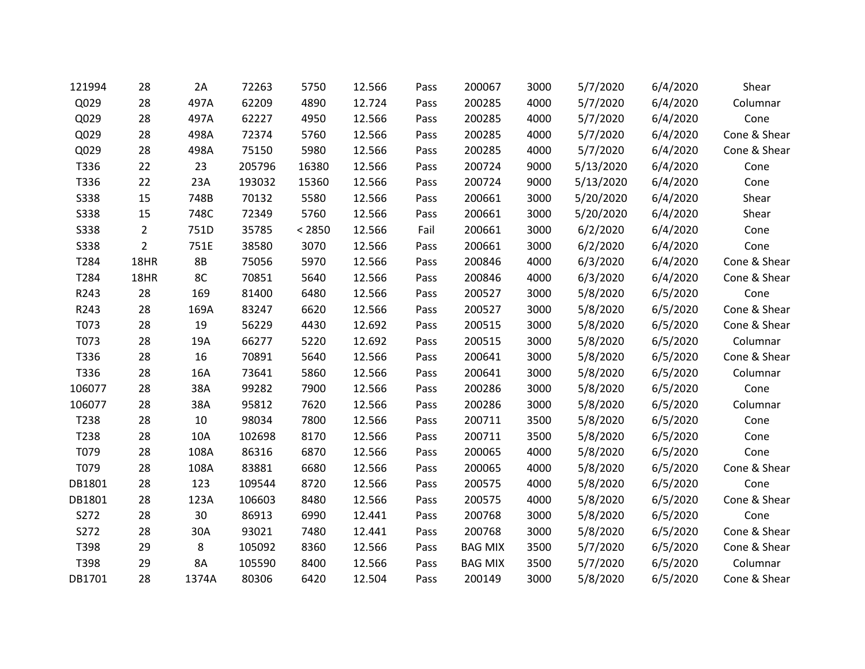| 121994      | 28             | 2A    | 72263  | 5750   | 12.566 | Pass | 200067         | 3000 | 5/7/2020  | 6/4/2020 | Shear        |
|-------------|----------------|-------|--------|--------|--------|------|----------------|------|-----------|----------|--------------|
| Q029        | 28             | 497A  | 62209  | 4890   | 12.724 | Pass | 200285         | 4000 | 5/7/2020  | 6/4/2020 | Columnar     |
| Q029        | 28             | 497A  | 62227  | 4950   | 12.566 | Pass | 200285         | 4000 | 5/7/2020  | 6/4/2020 | Cone         |
| Q029        | 28             | 498A  | 72374  | 5760   | 12.566 | Pass | 200285         | 4000 | 5/7/2020  | 6/4/2020 | Cone & Shear |
| Q029        | 28             | 498A  | 75150  | 5980   | 12.566 | Pass | 200285         | 4000 | 5/7/2020  | 6/4/2020 | Cone & Shear |
| T336        | 22             | 23    | 205796 | 16380  | 12.566 | Pass | 200724         | 9000 | 5/13/2020 | 6/4/2020 | Cone         |
| T336        | 22             | 23A   | 193032 | 15360  | 12.566 | Pass | 200724         | 9000 | 5/13/2020 | 6/4/2020 | Cone         |
| <b>S338</b> | 15             | 748B  | 70132  | 5580   | 12.566 | Pass | 200661         | 3000 | 5/20/2020 | 6/4/2020 | Shear        |
| <b>S338</b> | 15             | 748C  | 72349  | 5760   | 12.566 | Pass | 200661         | 3000 | 5/20/2020 | 6/4/2020 | Shear        |
| <b>S338</b> | $\overline{2}$ | 751D  | 35785  | < 2850 | 12.566 | Fail | 200661         | 3000 | 6/2/2020  | 6/4/2020 | Cone         |
| <b>S338</b> | $\overline{2}$ | 751E  | 38580  | 3070   | 12.566 | Pass | 200661         | 3000 | 6/2/2020  | 6/4/2020 | Cone         |
| T284        | 18HR           | 8B    | 75056  | 5970   | 12.566 | Pass | 200846         | 4000 | 6/3/2020  | 6/4/2020 | Cone & Shear |
| T284        | 18HR           | 8C    | 70851  | 5640   | 12.566 | Pass | 200846         | 4000 | 6/3/2020  | 6/4/2020 | Cone & Shear |
| R243        | 28             | 169   | 81400  | 6480   | 12.566 | Pass | 200527         | 3000 | 5/8/2020  | 6/5/2020 | Cone         |
| R243        | 28             | 169A  | 83247  | 6620   | 12.566 | Pass | 200527         | 3000 | 5/8/2020  | 6/5/2020 | Cone & Shear |
| T073        | 28             | 19    | 56229  | 4430   | 12.692 | Pass | 200515         | 3000 | 5/8/2020  | 6/5/2020 | Cone & Shear |
| T073        | 28             | 19A   | 66277  | 5220   | 12.692 | Pass | 200515         | 3000 | 5/8/2020  | 6/5/2020 | Columnar     |
| T336        | 28             | 16    | 70891  | 5640   | 12.566 | Pass | 200641         | 3000 | 5/8/2020  | 6/5/2020 | Cone & Shear |
| T336        | 28             | 16A   | 73641  | 5860   | 12.566 | Pass | 200641         | 3000 | 5/8/2020  | 6/5/2020 | Columnar     |
| 106077      | 28             | 38A   | 99282  | 7900   | 12.566 | Pass | 200286         | 3000 | 5/8/2020  | 6/5/2020 | Cone         |
| 106077      | 28             | 38A   | 95812  | 7620   | 12.566 | Pass | 200286         | 3000 | 5/8/2020  | 6/5/2020 | Columnar     |
| T238        | 28             | 10    | 98034  | 7800   | 12.566 | Pass | 200711         | 3500 | 5/8/2020  | 6/5/2020 | Cone         |
| T238        | 28             | 10A   | 102698 | 8170   | 12.566 | Pass | 200711         | 3500 | 5/8/2020  | 6/5/2020 | Cone         |
| T079        | 28             | 108A  | 86316  | 6870   | 12.566 | Pass | 200065         | 4000 | 5/8/2020  | 6/5/2020 | Cone         |
| T079        | 28             | 108A  | 83881  | 6680   | 12.566 | Pass | 200065         | 4000 | 5/8/2020  | 6/5/2020 | Cone & Shear |
| DB1801      | 28             | 123   | 109544 | 8720   | 12.566 | Pass | 200575         | 4000 | 5/8/2020  | 6/5/2020 | Cone         |
| DB1801      | 28             | 123A  | 106603 | 8480   | 12.566 | Pass | 200575         | 4000 | 5/8/2020  | 6/5/2020 | Cone & Shear |
| S272        | 28             | 30    | 86913  | 6990   | 12.441 | Pass | 200768         | 3000 | 5/8/2020  | 6/5/2020 | Cone         |
| S272        | 28             | 30A   | 93021  | 7480   | 12.441 | Pass | 200768         | 3000 | 5/8/2020  | 6/5/2020 | Cone & Shear |
| T398        | 29             | 8     | 105092 | 8360   | 12.566 | Pass | <b>BAG MIX</b> | 3500 | 5/7/2020  | 6/5/2020 | Cone & Shear |
| T398        | 29             | 8A    | 105590 | 8400   | 12.566 | Pass | <b>BAG MIX</b> | 3500 | 5/7/2020  | 6/5/2020 | Columnar     |
| DB1701      | 28             | 1374A | 80306  | 6420   | 12.504 | Pass | 200149         | 3000 | 5/8/2020  | 6/5/2020 | Cone & Shear |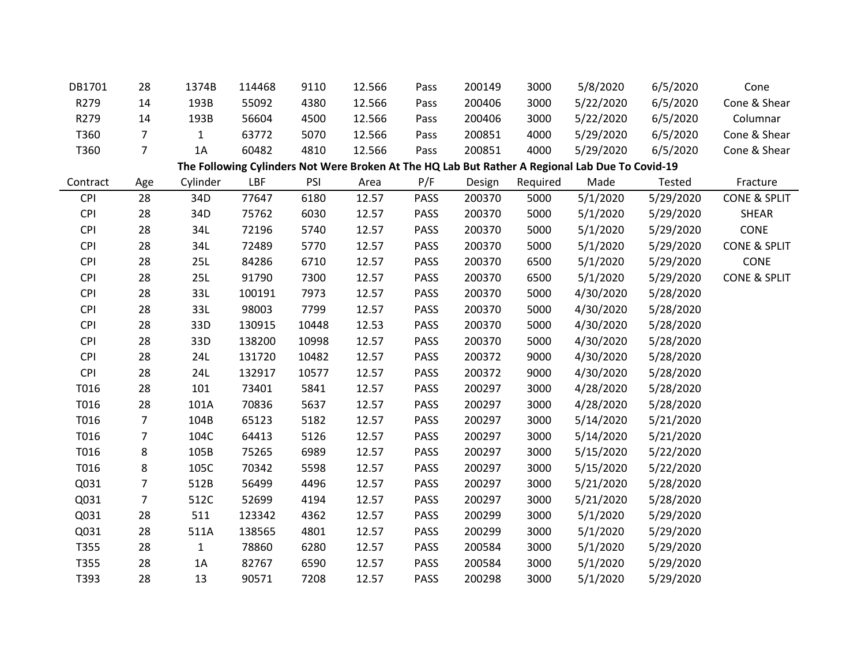| DB1701     | 28             | 1374B        | 114468 | 9110  | 12.566 | Pass        | 200149 | 3000     | 5/8/2020                                                                                        | 6/5/2020  | Cone                    |
|------------|----------------|--------------|--------|-------|--------|-------------|--------|----------|-------------------------------------------------------------------------------------------------|-----------|-------------------------|
| R279       | 14             | 193B         | 55092  | 4380  | 12.566 | Pass        | 200406 | 3000     | 5/22/2020                                                                                       | 6/5/2020  | Cone & Shear            |
| R279       | 14             | 193B         | 56604  | 4500  | 12.566 | Pass        | 200406 | 3000     | 5/22/2020                                                                                       | 6/5/2020  | Columnar                |
| T360       | $\overline{7}$ | $\mathbf{1}$ | 63772  | 5070  | 12.566 | Pass        | 200851 | 4000     | 5/29/2020                                                                                       | 6/5/2020  | Cone & Shear            |
| T360       | $\overline{7}$ | 1A           | 60482  | 4810  | 12.566 | Pass        | 200851 | 4000     | 5/29/2020                                                                                       | 6/5/2020  | Cone & Shear            |
|            |                |              |        |       |        |             |        |          | The Following Cylinders Not Were Broken At The HQ Lab But Rather A Regional Lab Due To Covid-19 |           |                         |
| Contract   | Age            | Cylinder     | LBF    | PSI   | Area   | P/F         | Design | Required | Made                                                                                            | Tested    | Fracture                |
| <b>CPI</b> | 28             | 34D          | 77647  | 6180  | 12.57  | <b>PASS</b> | 200370 | 5000     | 5/1/2020                                                                                        | 5/29/2020 | CONE & SPLIT            |
| <b>CPI</b> | 28             | 34D          | 75762  | 6030  | 12.57  | <b>PASS</b> | 200370 | 5000     | 5/1/2020                                                                                        | 5/29/2020 | <b>SHEAR</b>            |
| <b>CPI</b> | 28             | 34L          | 72196  | 5740  | 12.57  | <b>PASS</b> | 200370 | 5000     | 5/1/2020                                                                                        | 5/29/2020 | CONE                    |
| <b>CPI</b> | 28             | 34L          | 72489  | 5770  | 12.57  | <b>PASS</b> | 200370 | 5000     | 5/1/2020                                                                                        | 5/29/2020 | <b>CONE &amp; SPLIT</b> |
| <b>CPI</b> | 28             | 25L          | 84286  | 6710  | 12.57  | <b>PASS</b> | 200370 | 6500     | 5/1/2020                                                                                        | 5/29/2020 | CONE                    |
| <b>CPI</b> | 28             | 25L          | 91790  | 7300  | 12.57  | <b>PASS</b> | 200370 | 6500     | 5/1/2020                                                                                        | 5/29/2020 | <b>CONE &amp; SPLIT</b> |
| <b>CPI</b> | 28             | 33L          | 100191 | 7973  | 12.57  | <b>PASS</b> | 200370 | 5000     | 4/30/2020                                                                                       | 5/28/2020 |                         |
| <b>CPI</b> | 28             | 33L          | 98003  | 7799  | 12.57  | <b>PASS</b> | 200370 | 5000     | 4/30/2020                                                                                       | 5/28/2020 |                         |
| <b>CPI</b> | 28             | 33D          | 130915 | 10448 | 12.53  | <b>PASS</b> | 200370 | 5000     | 4/30/2020                                                                                       | 5/28/2020 |                         |
| <b>CPI</b> | 28             | 33D          | 138200 | 10998 | 12.57  | <b>PASS</b> | 200370 | 5000     | 4/30/2020                                                                                       | 5/28/2020 |                         |
| <b>CPI</b> | 28             | 24L          | 131720 | 10482 | 12.57  | <b>PASS</b> | 200372 | 9000     | 4/30/2020                                                                                       | 5/28/2020 |                         |
| <b>CPI</b> | 28             | 24L          | 132917 | 10577 | 12.57  | <b>PASS</b> | 200372 | 9000     | 4/30/2020                                                                                       | 5/28/2020 |                         |
| T016       | 28             | 101          | 73401  | 5841  | 12.57  | <b>PASS</b> | 200297 | 3000     | 4/28/2020                                                                                       | 5/28/2020 |                         |
| T016       | 28             | 101A         | 70836  | 5637  | 12.57  | <b>PASS</b> | 200297 | 3000     | 4/28/2020                                                                                       | 5/28/2020 |                         |
| T016       | $\overline{7}$ | 104B         | 65123  | 5182  | 12.57  | <b>PASS</b> | 200297 | 3000     | 5/14/2020                                                                                       | 5/21/2020 |                         |
| T016       | $\overline{7}$ | 104C         | 64413  | 5126  | 12.57  | <b>PASS</b> | 200297 | 3000     | 5/14/2020                                                                                       | 5/21/2020 |                         |
| T016       | 8              | 105B         | 75265  | 6989  | 12.57  | <b>PASS</b> | 200297 | 3000     | 5/15/2020                                                                                       | 5/22/2020 |                         |
| T016       | 8              | 105C         | 70342  | 5598  | 12.57  | <b>PASS</b> | 200297 | 3000     | 5/15/2020                                                                                       | 5/22/2020 |                         |
| Q031       | $\overline{7}$ | 512B         | 56499  | 4496  | 12.57  | <b>PASS</b> | 200297 | 3000     | 5/21/2020                                                                                       | 5/28/2020 |                         |
| Q031       | 7              | 512C         | 52699  | 4194  | 12.57  | <b>PASS</b> | 200297 | 3000     | 5/21/2020                                                                                       | 5/28/2020 |                         |
| Q031       | 28             | 511          | 123342 | 4362  | 12.57  | <b>PASS</b> | 200299 | 3000     | 5/1/2020                                                                                        | 5/29/2020 |                         |
| Q031       | 28             | 511A         | 138565 | 4801  | 12.57  | <b>PASS</b> | 200299 | 3000     | 5/1/2020                                                                                        | 5/29/2020 |                         |
| T355       | 28             | $\mathbf{1}$ | 78860  | 6280  | 12.57  | <b>PASS</b> | 200584 | 3000     | 5/1/2020                                                                                        | 5/29/2020 |                         |
| T355       | 28             | 1A           | 82767  | 6590  | 12.57  | <b>PASS</b> | 200584 | 3000     | 5/1/2020                                                                                        | 5/29/2020 |                         |
| T393       | 28             | 13           | 90571  | 7208  | 12.57  | <b>PASS</b> | 200298 | 3000     | 5/1/2020                                                                                        | 5/29/2020 |                         |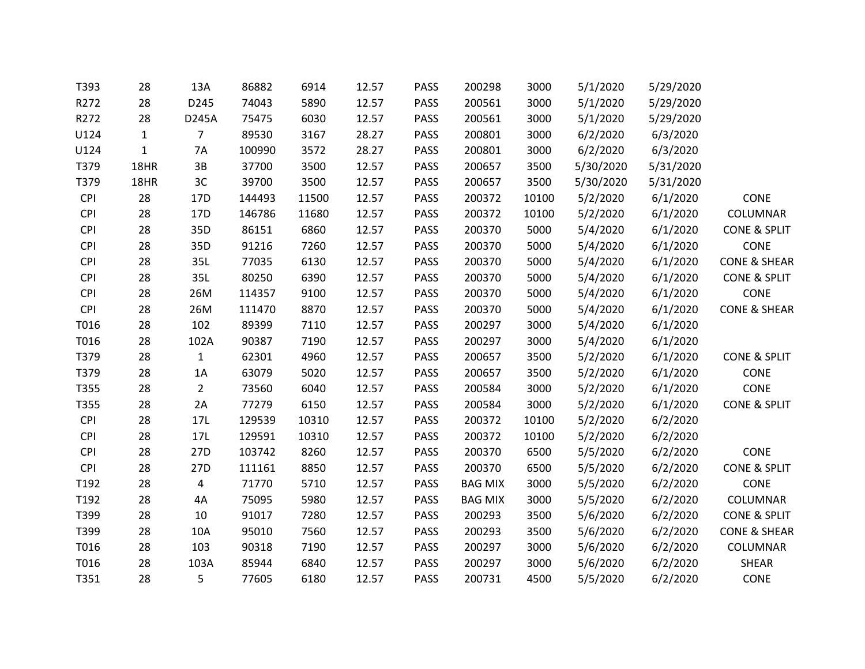| T393       | 28           | 13A            | 86882  | 6914  | 12.57 | PASS        | 200298         | 3000  | 5/1/2020  | 5/29/2020 |                         |
|------------|--------------|----------------|--------|-------|-------|-------------|----------------|-------|-----------|-----------|-------------------------|
| R272       | 28           | D245           | 74043  | 5890  | 12.57 | <b>PASS</b> | 200561         | 3000  | 5/1/2020  | 5/29/2020 |                         |
| R272       | 28           | D245A          | 75475  | 6030  | 12.57 | <b>PASS</b> | 200561         | 3000  | 5/1/2020  | 5/29/2020 |                         |
| U124       | $\mathbf{1}$ | 7              | 89530  | 3167  | 28.27 | <b>PASS</b> | 200801         | 3000  | 6/2/2020  | 6/3/2020  |                         |
| U124       | $\mathbf{1}$ | 7A             | 100990 | 3572  | 28.27 | PASS        | 200801         | 3000  | 6/2/2020  | 6/3/2020  |                         |
| T379       | 18HR         | 3B             | 37700  | 3500  | 12.57 | <b>PASS</b> | 200657         | 3500  | 5/30/2020 | 5/31/2020 |                         |
| T379       | 18HR         | 3C             | 39700  | 3500  | 12.57 | PASS        | 200657         | 3500  | 5/30/2020 | 5/31/2020 |                         |
| <b>CPI</b> | 28           | 17D            | 144493 | 11500 | 12.57 | PASS        | 200372         | 10100 | 5/2/2020  | 6/1/2020  | <b>CONE</b>             |
| <b>CPI</b> | 28           | 17D            | 146786 | 11680 | 12.57 | PASS        | 200372         | 10100 | 5/2/2020  | 6/1/2020  | COLUMNAR                |
| <b>CPI</b> | 28           | 35D            | 86151  | 6860  | 12.57 | PASS        | 200370         | 5000  | 5/4/2020  | 6/1/2020  | <b>CONE &amp; SPLIT</b> |
| <b>CPI</b> | 28           | 35D            | 91216  | 7260  | 12.57 | <b>PASS</b> | 200370         | 5000  | 5/4/2020  | 6/1/2020  | CONE                    |
| <b>CPI</b> | 28           | 35L            | 77035  | 6130  | 12.57 | <b>PASS</b> | 200370         | 5000  | 5/4/2020  | 6/1/2020  | <b>CONE &amp; SHEAR</b> |
| <b>CPI</b> | 28           | 35L            | 80250  | 6390  | 12.57 | PASS        | 200370         | 5000  | 5/4/2020  | 6/1/2020  | <b>CONE &amp; SPLIT</b> |
| <b>CPI</b> | 28           | 26M            | 114357 | 9100  | 12.57 | PASS        | 200370         | 5000  | 5/4/2020  | 6/1/2020  | CONE                    |
| <b>CPI</b> | 28           | 26M            | 111470 | 8870  | 12.57 | <b>PASS</b> | 200370         | 5000  | 5/4/2020  | 6/1/2020  | <b>CONE &amp; SHEAR</b> |
| T016       | 28           | 102            | 89399  | 7110  | 12.57 | <b>PASS</b> | 200297         | 3000  | 5/4/2020  | 6/1/2020  |                         |
| T016       | 28           | 102A           | 90387  | 7190  | 12.57 | <b>PASS</b> | 200297         | 3000  | 5/4/2020  | 6/1/2020  |                         |
| T379       | 28           | $\mathbf{1}$   | 62301  | 4960  | 12.57 | <b>PASS</b> | 200657         | 3500  | 5/2/2020  | 6/1/2020  | <b>CONE &amp; SPLIT</b> |
| T379       | 28           | 1A             | 63079  | 5020  | 12.57 | PASS        | 200657         | 3500  | 5/2/2020  | 6/1/2020  | <b>CONE</b>             |
| T355       | 28           | $\overline{2}$ | 73560  | 6040  | 12.57 | <b>PASS</b> | 200584         | 3000  | 5/2/2020  | 6/1/2020  | <b>CONE</b>             |
| T355       | 28           | 2A             | 77279  | 6150  | 12.57 | <b>PASS</b> | 200584         | 3000  | 5/2/2020  | 6/1/2020  | <b>CONE &amp; SPLIT</b> |
| <b>CPI</b> | 28           | 17L            | 129539 | 10310 | 12.57 | <b>PASS</b> | 200372         | 10100 | 5/2/2020  | 6/2/2020  |                         |
| <b>CPI</b> | 28           | 17L            | 129591 | 10310 | 12.57 | <b>PASS</b> | 200372         | 10100 | 5/2/2020  | 6/2/2020  |                         |
| <b>CPI</b> | 28           | 27D            | 103742 | 8260  | 12.57 | <b>PASS</b> | 200370         | 6500  | 5/5/2020  | 6/2/2020  | <b>CONE</b>             |
| <b>CPI</b> | 28           | 27D            | 111161 | 8850  | 12.57 | PASS        | 200370         | 6500  | 5/5/2020  | 6/2/2020  | <b>CONE &amp; SPLIT</b> |
| T192       | 28           | $\overline{4}$ | 71770  | 5710  | 12.57 | <b>PASS</b> | <b>BAG MIX</b> | 3000  | 5/5/2020  | 6/2/2020  | CONE                    |
| T192       | 28           | 4A             | 75095  | 5980  | 12.57 | <b>PASS</b> | <b>BAG MIX</b> | 3000  | 5/5/2020  | 6/2/2020  | COLUMNAR                |
| T399       | 28           | 10             | 91017  | 7280  | 12.57 | <b>PASS</b> | 200293         | 3500  | 5/6/2020  | 6/2/2020  | <b>CONE &amp; SPLIT</b> |
| T399       | 28           | 10A            | 95010  | 7560  | 12.57 | <b>PASS</b> | 200293         | 3500  | 5/6/2020  | 6/2/2020  | <b>CONE &amp; SHEAR</b> |
| T016       | 28           | 103            | 90318  | 7190  | 12.57 | <b>PASS</b> | 200297         | 3000  | 5/6/2020  | 6/2/2020  | COLUMNAR                |
| T016       | 28           | 103A           | 85944  | 6840  | 12.57 | <b>PASS</b> | 200297         | 3000  | 5/6/2020  | 6/2/2020  | <b>SHEAR</b>            |
| T351       | 28           | 5              | 77605  | 6180  | 12.57 | <b>PASS</b> | 200731         | 4500  | 5/5/2020  | 6/2/2020  | <b>CONE</b>             |